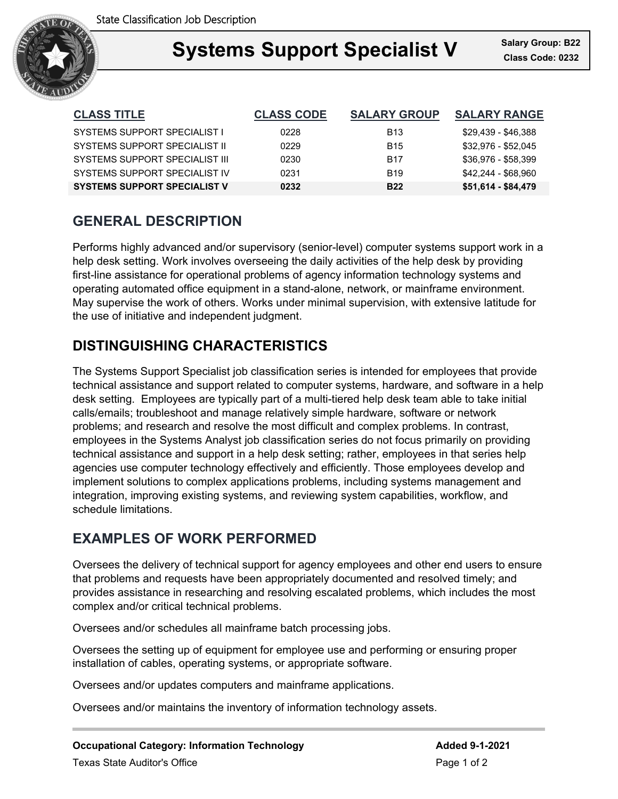

### **Support Specialist V** Salary Gro **Systems Support Specialist V Class Code: 0232**

| <b>CLASS TITLE</b>                  | <b>CLASS CODE</b> | <b>SALARY GROUP</b> | <b>SALARY RANGE</b> |
|-------------------------------------|-------------------|---------------------|---------------------|
| <b>SYSTEMS SUPPORT SPECIALIST I</b> | 0228              | <b>B</b> 13         | \$29,439 - \$46,388 |
| SYSTEMS SUPPORT SPECIAL IST IL      | 0229              | <b>B15</b>          | \$32,976 - \$52,045 |
| SYSTEMS SUPPORT SPECIALIST III      | 0230              | <b>B17</b>          | \$36,976 - \$58,399 |
| SYSTEMS SUPPORT SPECIAL IST IV      | 0231              | <b>B19</b>          | \$42,244 - \$68,960 |
| <b>SYSTEMS SUPPORT SPECIALIST V</b> | 0232              | <b>B22</b>          | \$51,614 - \$84,479 |

# **GENERAL DESCRIPTION**

Performs highly advanced and/or supervisory (senior-level) computer systems support work in a help desk setting. Work involves overseeing the daily activities of the help desk by providing first-line assistance for operational problems of agency information technology systems and operating automated office equipment in a stand-alone, network, or mainframe environment. May supervise the work of others. Works under minimal supervision, with extensive latitude for the use of initiative and independent judgment.

# **DISTINGUISHING CHARACTERISTICS**

The Systems Support Specialist job classification series is intended for employees that provide technical assistance and support related to computer systems, hardware, and software in a help desk setting. Employees are typically part of a multi-tiered help desk team able to take initial calls/emails; troubleshoot and manage relatively simple hardware, software or network problems; and research and resolve the most difficult and complex problems. In contrast, employees in the Systems Analyst job classification series do not focus primarily on providing technical assistance and support in a help desk setting; rather, employees in that series help agencies use computer technology effectively and efficiently. Those employees develop and implement solutions to complex applications problems, including systems management and integration, improving existing systems, and reviewing system capabilities, workflow, and schedule limitations.

# **EXAMPLES OF WORK PERFORMED**

Oversees the delivery of technical support for agency employees and other end users to ensure that problems and requests have been appropriately documented and resolved timely; and provides assistance in researching and resolving escalated problems, which includes the most complex and/or critical technical problems.

Oversees and/or schedules all mainframe batch processing jobs.

Oversees the setting up of equipment for employee use and performing or ensuring proper installation of cables, operating systems, or appropriate software.

Oversees and/or updates computers and mainframe applications.

Oversees and/or maintains the inventory of information technology assets.

**Occupational Category: Information Technology <b>Added 9-1-2021** Texas State Auditor's Office **Page 1 of 2** and 2